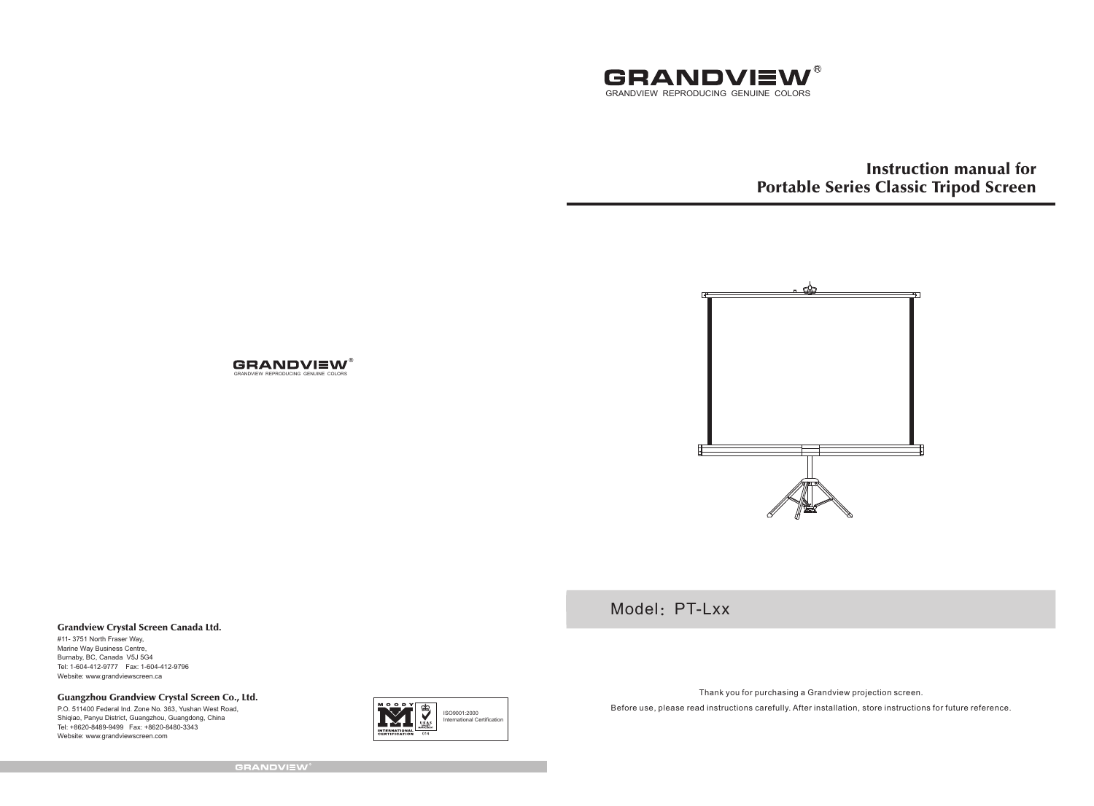

Instruction manual for Portable Series Classic Tripod Screen



Model: PT-Lxx

#### Grandview Crystal Screen Canada Ltd.

#11- 3751 North Fraser Way, Marine Way Business Centre, Burnaby, BC, Canada V5J 5G4 Tel: 1-604-412-9777 Fax: 1-604-412-9796 Website: www.grandviewscreen.ca

Guangzhou Grandview Crystal Screen Co., Ltd.

P.O. 511400 Federal Ind. Zone No. 363, Yushan West Road, Shiqiao, Panyu District, Guangzhou, Guangdong, China Tel: +8620-8489-9499 Fax: +8620-8480-3343 Website: www.grandviewscreen.com



Thank you for purchasing a Grandview projection screen.

Before use, please read instructions carefully. After installation, store instructions for future reference.

**GRANDVIEW®** 

GRANDVIEW REPRODUCING GENUINE COLORS

**GRANDVIEW®**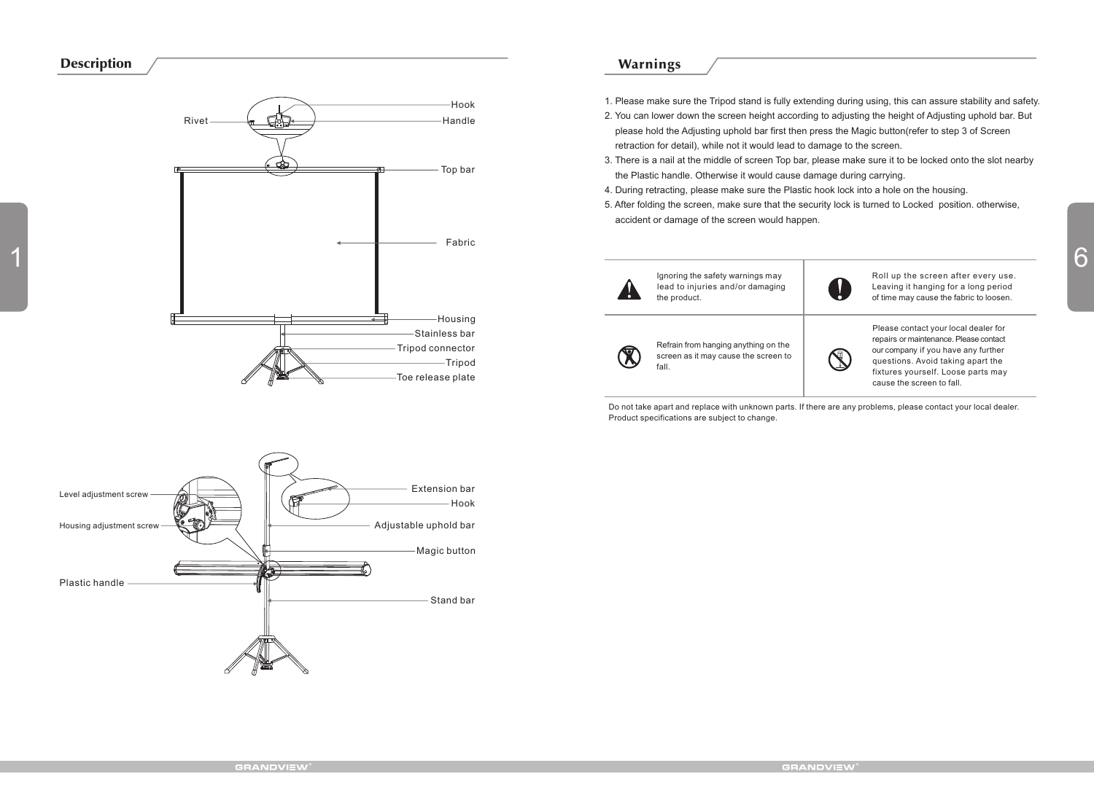### Description



### Warnings

- 1. Please make sure the Tripod stand is fully extending during using, this can assure stability and safety.
- 2. You can lower down the screen height according to adjusting the height of Adjusting uphold bar. But please hold the Adjusting uphold bar first then press the Magic button(refer to step 3 of Screen retraction for detail), while not it would lead to damage to the screen.
- 3. There is a nail at the middle of screen Top bar, please make sure it to be locked onto the slot nearby the Plastic handle. Otherwise it would cause damage during carrying.
- 4. During retracting, please make sure the Plastic hook lock into a hole on the housing.
- 5. After folding the screen, make sure that the security lock is turned to Locked position. otherwise, accident or damage of the screen would happen.





Refrain from hanging anything on the screen as it may cause the screen to fall.

Please contact your local dealer for repairs or maintenance. Please contact our company if you have any further questions. Avoid taking apart the fixtures yourself. Loose parts may cause the screen to fall.

Do not take apart and replace with unknown parts. If there are any problems, please contact your local dealer. Product specifications are subject to change.

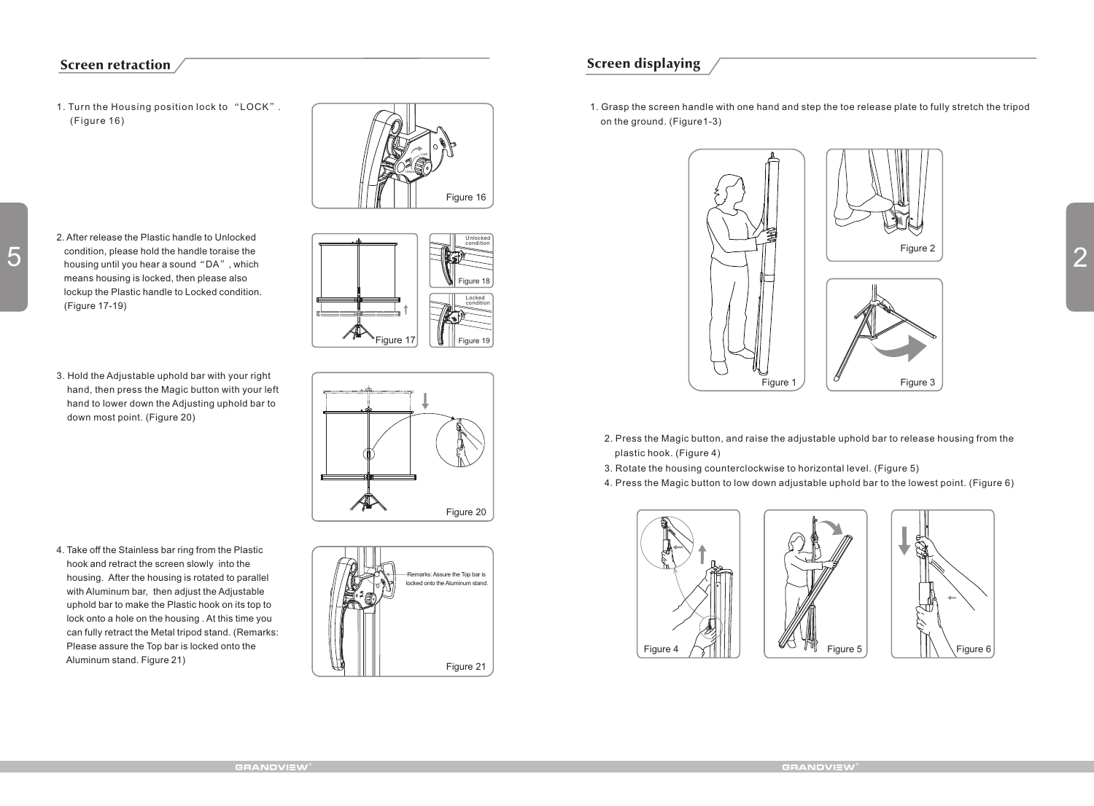## Screen retraction

1. Turn the Housing position lock to "LOCK". (Figure 16)



Figure 18

Unlocked condition

Locked condition

- 2. After release the Plastic handle to Unlocked condition, please hold the handle toraise the housing until you hear a sound"DA", which means housing is locked, then please also lockup the Plastic handle to Locked condition. (Figure 17-19)
- 3. Hold the Adjustable uphold bar with your right hand, then press the Magic button with your left hand to lower down the Adjusting uphold bar to down most point. (Figure 20)

4. Take off the Stainless bar ring from the Plastic hook and retract the screen slowly into the housing. After the housing is rotated to parallel with Aluminum bar, then adjust the Adjustable uphold bar to make the Plastic hook on its top to lock onto a hole on the housing . At this time you can fully retract the Metal tripod stand. (Remarks: Please assure the Top bar is locked onto the Aluminum stand. Figure 21)



Figure 21 lemarks: Assure the Top bar is locked onto the Aluminum stand.

# Screen displaying

1. Grasp the screen handle with one hand and step the toe release plate to fully stretch the tripod on the ground. (Figure1-3)



- 2. Press the Magic button, and raise the adjustable uphold bar to release housing from the plastic hook. (Figure 4)
- 3. Rotate the housing counterclockwise to horizontal level. (Figure 5)
- 4. Press the Magic button to low down adjustable uphold bar to the lowest point. (Figure 6)